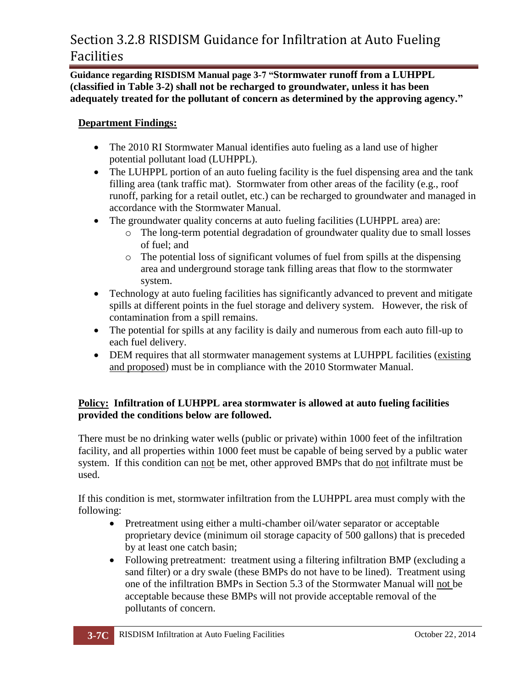## Section 3.2.8 RISDISM Guidance for Infiltration at Auto Fueling Facilities

**Guidance regarding RISDISM Manual page 3-7 "Stormwater runoff from a LUHPPL (classified in Table 3-2) shall not be recharged to groundwater, unless it has been adequately treated for the pollutant of concern as determined by the approving agency."**

### **Department Findings:**

- The 2010 RI Stormwater Manual identifies auto fueling as a land use of higher potential pollutant load (LUHPPL).
- The LUHPPL portion of an auto fueling facility is the fuel dispensing area and the tank filling area (tank traffic mat). Stormwater from other areas of the facility (e.g., roof runoff, parking for a retail outlet, etc.) can be recharged to groundwater and managed in accordance with the Stormwater Manual.
- The groundwater quality concerns at auto fueling facilities (LUHPPL area) are:
	- o The long-term potential degradation of groundwater quality due to small losses of fuel; and
	- o The potential loss of significant volumes of fuel from spills at the dispensing area and underground storage tank filling areas that flow to the stormwater system.
- Technology at auto fueling facilities has significantly advanced to prevent and mitigate spills at different points in the fuel storage and delivery system. However, the risk of contamination from a spill remains.
- The potential for spills at any facility is daily and numerous from each auto fill-up to each fuel delivery.
- DEM requires that all stormwater management systems at LUHPPL facilities (existing and proposed) must be in compliance with the 2010 Stormwater Manual.

### **Policy: Infiltration of LUHPPL area stormwater is allowed at auto fueling facilities provided the conditions below are followed.**

There must be no drinking water wells (public or private) within 1000 feet of the infiltration facility, and all properties within 1000 feet must be capable of being served by a public water system. If this condition can not be met, other approved BMPs that do not infiltrate must be used.

If this condition is met, stormwater infiltration from the LUHPPL area must comply with the following:

- Pretreatment using either a multi-chamber oil/water separator or acceptable proprietary device (minimum oil storage capacity of 500 gallons) that is preceded by at least one catch basin;
- Following pretreatment: treatment using a filtering infiltration BMP (excluding a sand filter) or a dry swale (these BMPs do not have to be lined). Treatment using one of the infiltration BMPs in Section 5.3 of the Stormwater Manual will not be acceptable because these BMPs will not provide acceptable removal of the pollutants of concern.